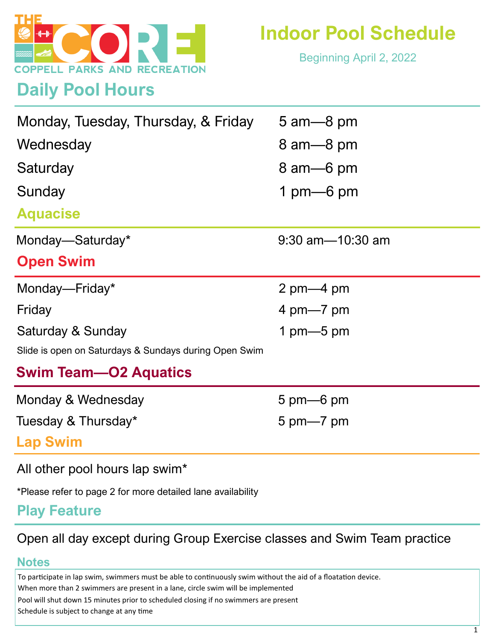

**Daily Pool Hours**

Beginning April 2, 2022

| Monday, Tuesday, Thursday, & Friday<br>Wednesday<br>Saturday<br>Sunday | $5 \text{ am} - 8 \text{ pm}$<br>8 am - 8 pm<br>8 am 6 pm<br>1 pm $-6$ pm |
|------------------------------------------------------------------------|---------------------------------------------------------------------------|
| <b>Aquacise</b>                                                        |                                                                           |
| Monday-Saturday*                                                       | $9:30$ am $-10:30$ am                                                     |
| <b>Open Swim</b>                                                       |                                                                           |
| Monday-Friday*                                                         | 2 pm $-4$ pm                                                              |
| Friday                                                                 | 4 pm $-7$ pm                                                              |
| Saturday & Sunday                                                      | 1 pm $-5$ pm                                                              |
| Slide is open on Saturdays & Sundays during Open Swim                  |                                                                           |
| <b>Swim Team—O2 Aquatics</b>                                           |                                                                           |
| Monday & Wednesday                                                     | $5 \text{ pm}$ 6 pm                                                       |
| Tuesday & Thursday*                                                    | $5 \text{ pm} - 7 \text{ pm}$                                             |
| <b>Lap Swim</b>                                                        |                                                                           |

All other pool hours lap swim\*

\*Please refer to page 2 for more detailed lane availability

## **Play Feature**

## Open all day except during Group Exercise classes and Swim Team practice

## **Notes**

To participate in lap swim, swimmers must be able to continuously swim without the aid of a floatation device.

When more than 2 swimmers are present in a lane, circle swim will be implemented

Pool will shut down 15 minutes prior to scheduled closing if no swimmers are present

Schedule is subject to change at any time